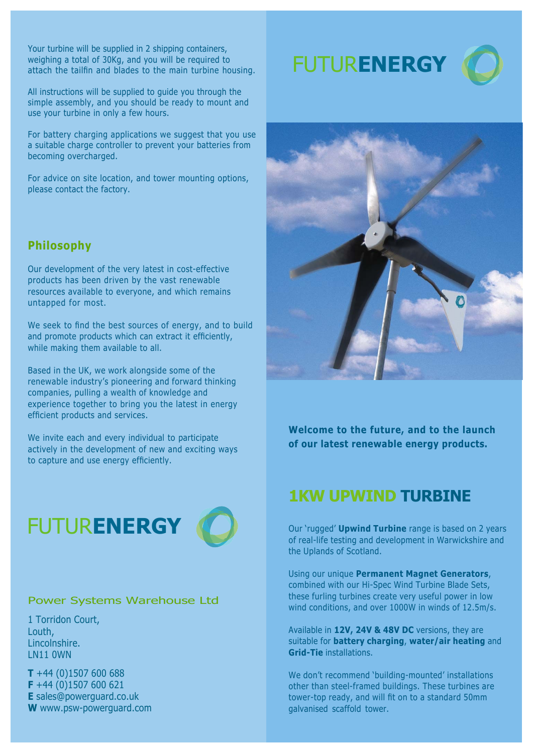Your turbine will be supplied in 2 shipping containers, weighing a total of 30Kg, and you will be required to attach the tailfin and blades to the main turbine housing.

All instructions will be supplied to guide you through the simple assembly, and you should be ready to mount and use your turbine in only a few hours.

For battery charging applications we suggest that you use a suitable charge controller to prevent your batteries from becoming overcharged.

For advice on site location, and tower mounting options, please contact the factory.

### **Philosophy**

Our development of the very latest in cost-effective products has been driven by the vast renewable resources available to everyone, and which remains untapped for most.

We seek to find the best sources of energy, and to build and promote products which can extract it efficiently, while making them available to all.

Based in the UK, we work alongside some of the renewable industry's pioneering and forward thinking companies, pulling a wealth of knowledge and experience together to bring you the latest in energy efficient products and services.

We invite each and every individual to participate actively in the development of new and exciting ways to capture and use energy efficiently.





#### Power Systems Warehouse Ltd

1 Torridon Court, Louth, Lincolnshire. LN11 0WN

**T** +44 (0)1507 600 688 **F** +44 (0)1507 600 621 **E** sales@powerguard.co.uk **W** www.psw-powerguard.com FUTUR**ENERGY**





**Welcome to the future, and to the launch of our latest renewable energy products.**

## **1KW UPWIND TURBINE**

Our 'rugged' **Upwind Turbine** range is based on 2 years of real-life testing and development in Warwickshire and the Uplands of Scotland.

Using our unique **Permanent Magnet Generators**, combined with our Hi-Spec Wind Turbine Blade Sets, these furling turbines create very useful power in low wind conditions, and over 1000W in winds of 12.5m/s.

Available in **12V, 24V & 48V DC** versions, they are suitable for **battery charging**, **water/air heating** and **Grid-Tie** installations.

We don't recommend 'building-mounted' installations other than steel-framed buildings. These turbines are tower-top ready, and will fit on to a standard 50mm galvanised scaffold tower.